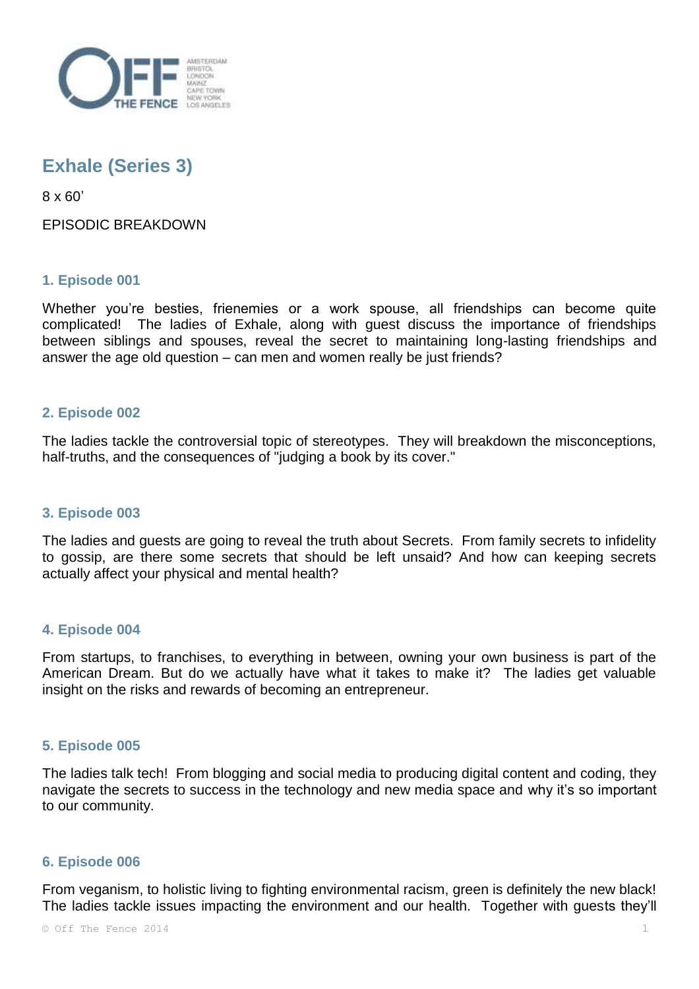

# **Exhale (Series 3)**

8 x 60'

EPISODIC BREAKDOWN

## **1. Episode 001**

Whether you're besties, frienemies or a work spouse, all friendships can become quite complicated! The ladies of Exhale, along with guest discuss the importance of friendships between siblings and spouses, reveal the secret to maintaining long-lasting friendships and answer the age old question – can men and women really be just friends?

## **2. Episode 002**

The ladies tackle the controversial topic of stereotypes. They will breakdown the misconceptions, half-truths, and the consequences of "judging a book by its cover."

## **3. Episode 003**

The ladies and guests are going to reveal the truth about Secrets. From family secrets to infidelity to gossip, are there some secrets that should be left unsaid? And how can keeping secrets actually affect your physical and mental health?

### **4. Episode 004**

From startups, to franchises, to everything in between, owning your own business is part of the American Dream. But do we actually have what it takes to make it? The ladies get valuable insight on the risks and rewards of becoming an entrepreneur.

### **5. Episode 005**

The ladies talk tech! From blogging and social media to producing digital content and coding, they navigate the secrets to success in the technology and new media space and why it's so important to our community.

### **6. Episode 006**

From veganism, to holistic living to fighting environmental racism, green is definitely the new black! The ladies tackle issues impacting the environment and our health. Together with guests they'll